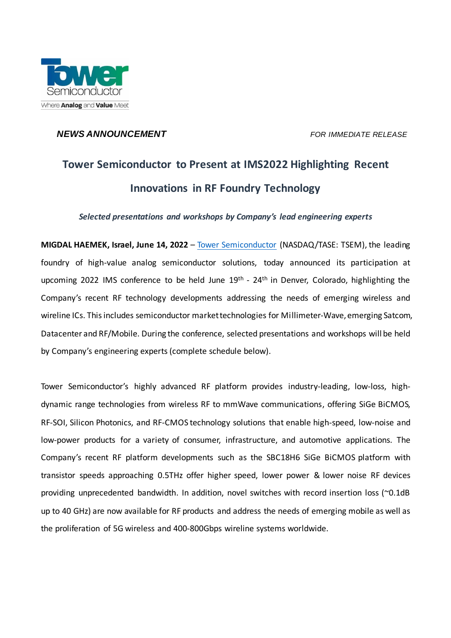

## *NEWS ANNOUNCEMENT FOR IMMEDIATE RELEASE*

# **Tower Semiconductor to Present at IMS2022 Highlighting Recent Innovations in RF Foundry Technology**

*Selected presentations and workshops by Company's lead engineering experts*

**MIGDAL HAEMEK, Israel, June 14, 2022** – [Tower Semiconductor](http://www.towersemi.com/) (NASDAQ/TASE: TSEM), the leading foundry of high-value analog semiconductor solutions, today announced its participation at upcoming 2022 IMS conference to be held June 19<sup>th</sup> - 24<sup>th</sup> in Denver, Colorado, highlighting the Company's recent RF technology developments addressing the needs of emerging wireless and wireline ICs. This includes semiconductor market technologies for Millimeter-Wave, emerging Satcom, Datacenter and RF/Mobile. During the conference, selected presentations and workshops will be held by Company's engineering experts (complete schedule below).

Tower Semiconductor's highly advanced RF platform provides industry-leading, low-loss, highdynamic range technologies from wireless RF to mmWave communications, offering SiGe BiCMOS, RF-SOI, Silicon Photonics, and RF-CMOS technology solutions that enable high-speed, low-noise and low-power products for a variety of consumer, infrastructure, and automotive applications. The Company's recent RF platform developments such as the SBC18H6 SiGe BiCMOS platform with transistor speeds approaching 0.5THz offer higher speed, lower power & lower noise RF devices providing unprecedented bandwidth. In addition, novel switches with record insertion loss (~0.1dB up to 40 GHz) are now available for RF products and address the needs of emerging mobile as well as the proliferation of 5G wireless and 400-800Gbps wireline systems worldwide.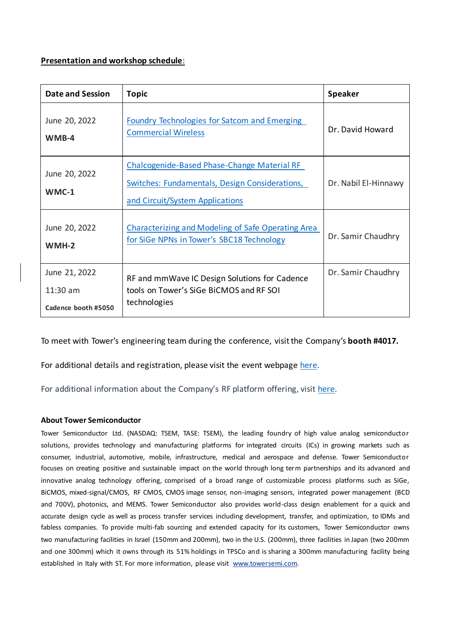### **Presentation and workshop schedule**:

| <b>Date and Session</b>                            | <b>Topic</b>                                                                                                                     | <b>Speaker</b>       |
|----------------------------------------------------|----------------------------------------------------------------------------------------------------------------------------------|----------------------|
| June 20, 2022<br>WMB-4                             | <b>Foundry Technologies for Satcom and Emerging</b><br><b>Commercial Wireless</b>                                                | Dr. David Howard     |
| June 20, 2022<br>$WMC-1$                           | Chalcogenide-Based Phase-Change Material RF<br>Switches: Fundamentals, Design Considerations,<br>and Circuit/System Applications | Dr. Nabil El-Hinnawy |
| June 20, 2022<br>$WMH-2$                           | Characterizing and Modeling of Safe Operating Area<br>for SiGe NPNs in Tower's SBC18 Technology                                  | Dr. Samir Chaudhry   |
| June 21, 2022<br>$11:30$ am<br>Cadence booth #5050 | RF and mmWave IC Design Solutions for Cadence<br>tools on Tower's SiGe BiCMOS and RF SOI<br>technologies                         | Dr. Samir Chaudhry   |

To meet with Tower's engineering team during the conference, visit the Company's **booth #4017.**

For additional details and registration, please visit the event webpage [here](https://ims-ieee.org/ims2022).

For additional information about the Company's RF platform offering, visit [here.](https://towersemi.com/technology/rf-and-hpa/)

#### **About Tower Semiconductor**

Tower Semiconductor Ltd. (NASDAQ: TSEM, TASE: TSEM), the leading foundry of high value analog semiconductor solutions, provides technology and manufacturing platforms for integrated circuits (ICs) in growing markets such as consumer, industrial, automotive, mobile, infrastructure, medical and aerospace and defense. Tower Semiconductor focuses on creating positive and sustainable impact on the world through long term partnerships and its advanced and innovative analog technology offering, comprised of a broad range of customizable process platforms such as SiGe, BiCMOS, mixed-signal/CMOS, RF CMOS, CMOS image sensor, non-imaging sensors, integrated power management (BCD and 700V), photonics, and MEMS. Tower Semiconductor also provides world-class design enablement for a quick and accurate design cycle as well as process transfer services including development, transfer, and optimization, to IDMs and fabless companies. To provide multi-fab sourcing and extended capacity for its customers, Tower Semiconductor owns two manufacturing facilities in Israel (150mm and 200mm), two in the U.S. (200mm), three facilities in Japan (two 200mm and one 300mm) which it owns through its 51% holdings in TPSCo and is sharing a 300mm manufacturing facility being established in Italy with ST. For more information, please visit [www.towersemi.com.](http://www.towersemi.com/)